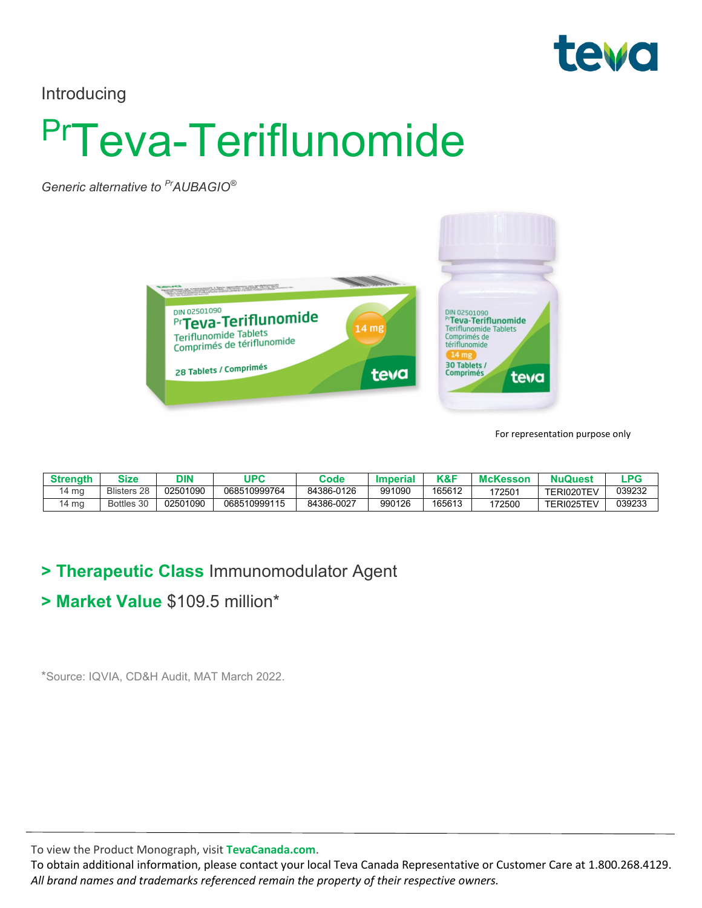

Introducing

# PrTeva-Teriflunomide

*Generic alternative to PrAUBAGIO®*



For representation purpose only

| Strenath | Size               | אוכ      | <b>JPC</b>   | Code       | Imperia | <b>VOC</b><br>\Q.I | <b>McKesson</b> | <b>NuQuest</b> | .PG    |
|----------|--------------------|----------|--------------|------------|---------|--------------------|-----------------|----------------|--------|
| 4 mg     | <b>Blisters 28</b> | 02501090 | 068510999764 | 84386-0126 | 991090  | 165612             | '72501          | TERI020TEV     | 039232 |
| 4 mg     | Bottles 30         | 02501090 | 068510999115 | 84386-0027 | 990126  | 165613             | 172500          | TERI025TEV     | 039233 |

#### **> Therapeutic Class** Immunomodulator Agent

#### **> Market Value** \$109.5 million\*

\*Source: IQVIA, CD&H Audit, MAT March 2022.

To view the Product Monograph, visit **TevaCanada.com**.

To obtain additional information, please contact your local Teva Canada Representative or Customer Care at 1.800.268.4129. *All brand names and trademarks referenced remain the property of their respective owners.*